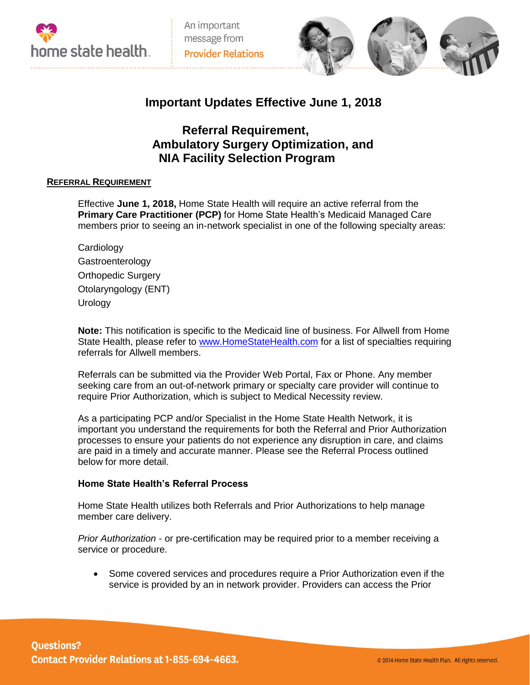



# **Important Updates Effective June 1, 2018**

# **Referral Requirement, Ambulatory Surgery Optimization, and NIA Facility Selection Program**

# **REFERRAL REQUIREMENT**

Effective **June 1, 2018,** Home State Health will require an active referral from the **Primary Care Practitioner (PCP)** for Home State Health's Medicaid Managed Care members prior to seeing an in-network specialist in one of the following specialty areas:

| Cardiology                |
|---------------------------|
| Gastroenterology          |
| <b>Orthopedic Surgery</b> |
| Otolaryngology (ENT)      |
| Urology                   |

**Note:** This notification is specific to the Medicaid line of business. For Allwell from Home State Health, please refer to [www.HomeStateHealth.com](http://www.homestatehealth.com/) for a list of specialties requiring referrals for Allwell members.

Referrals can be submitted via the Provider Web Portal, Fax or Phone. Any member seeking care from an out-of-network primary or specialty care provider will continue to require Prior Authorization, which is subject to Medical Necessity review.

As a participating PCP and/or Specialist in the Home State Health Network, it is important you understand the requirements for both the Referral and Prior Authorization processes to ensure your patients do not experience any disruption in care, and claims are paid in a timely and accurate manner. Please see the Referral Process outlined below for more detail.

## **Home State Health's Referral Process**

Home State Health utilizes both Referrals and Prior Authorizations to help manage member care delivery.

*Prior Authorization* - or pre-certification may be required prior to a member receiving a service or procedure.

 Some covered services and procedures require a Prior Authorization even if the service is provided by an in network provider. Providers can access the Prior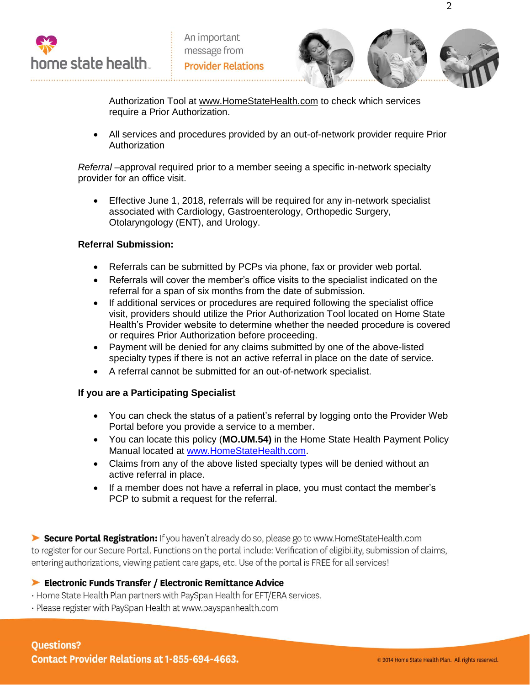



Authorization Tool at www.HomeStateHealth.com to check which services require a Prior Authorization.

 All services and procedures provided by an out-of-network provider require Prior Authorization

*Referral –*approval required prior to a member seeing a specific in-network specialty provider for an office visit.

 Effective June 1, 2018, referrals will be required for any in-network specialist associated with Cardiology, Gastroenterology, Orthopedic Surgery, Otolaryngology (ENT), and Urology.

# **Referral Submission:**

- Referrals can be submitted by PCPs via phone, fax or provider web portal.
- Referrals will cover the member's office visits to the specialist indicated on the referral for a span of six months from the date of submission.
- If additional services or procedures are required following the specialist office visit, providers should utilize the Prior Authorization Tool located on Home State Health's Provider website to determine whether the needed procedure is covered or requires Prior Authorization before proceeding.
- Payment will be denied for any claims submitted by one of the above-listed specialty types if there is not an active referral in place on the date of service.
- A referral cannot be submitted for an out-of-network specialist.

# **If you are a Participating Specialist**

- You can check the status of a patient's referral by logging onto the Provider Web Portal before you provide a service to a member.
- You can locate this policy (**MO.UM.54)** in the Home State Health Payment Policy Manual located at [www.HomeStateHealth.com.](http://www.homestatehealth.com/)
- Claims from any of the above listed specialty types will be denied without an active referral in place.
- If a member does not have a referral in place, you must contact the member's PCP to submit a request for the referral.

Secure Portal Registration: If you haven't already do so, please go to www.HomeStateHealth.com to register for our Secure Portal. Functions on the portal include: Verification of eligibility, submission of claims, entering authorizations, viewing patient care gaps, etc. Use of the portal is FREE for all services!

# Electronic Funds Transfer / Electronic Remittance Advice

· Home State Health Plan partners with PaySpan Health for EFT/ERA services.

· Please register with PaySpan Health at www.payspanhealth.com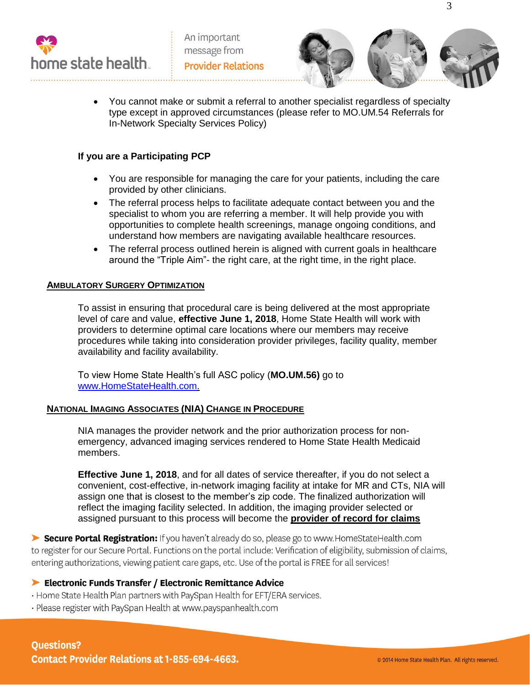



3

 You cannot make or submit a referral to another specialist regardless of specialty type except in approved circumstances (please refer to MO.UM.54 Referrals for In-Network Specialty Services Policy)

# **If you are a Participating PCP**

- You are responsible for managing the care for your patients, including the care provided by other clinicians.
- The referral process helps to facilitate adequate contact between you and the specialist to whom you are referring a member. It will help provide you with opportunities to complete health screenings, manage ongoing conditions, and understand how members are navigating available healthcare resources.
- The referral process outlined herein is aligned with current goals in healthcare around the "Triple Aim"- the right care, at the right time, in the right place.

## **AMBULATORY SURGERY OPTIMIZATION**

To assist in ensuring that procedural care is being delivered at the most appropriate level of care and value, **effective June 1, 2018**, Home State Health will work with providers to determine optimal care locations where our members may receive procedures while taking into consideration provider privileges, facility quality, member availability and facility availability.

To view Home State Health's full ASC policy (**MO.UM.56)** go to [www.HomeStateHealth.com.](http://www.homestatehealth.com/)

## **NATIONAL IMAGING ASSOCIATES (NIA) CHANGE IN PROCEDURE**

NIA manages the provider network and the prior authorization process for nonemergency, advanced imaging services rendered to Home State Health Medicaid members.

**Effective June 1, 2018**, and for all dates of service thereafter, if you do not select a convenient, cost-effective, in-network imaging facility at intake for MR and CTs, NIA will assign one that is closest to the member's zip code. The finalized authorization will reflect the imaging facility selected. In addition, the imaging provider selected or assigned pursuant to this process will become the **provider of record for claims** 

Secure Portal Registration: If you haven't already do so, please go to www.HomeStateHealth.com to register for our Secure Portal. Functions on the portal include: Verification of eligibility, submission of claims, entering authorizations, viewing patient care gaps, etc. Use of the portal is FREE for all services!

## Electronic Funds Transfer / Electronic Remittance Advice

- · Home State Health Plan partners with PaySpan Health for EFT/ERA services.
- · Please register with PaySpan Health at www.payspanhealth.com